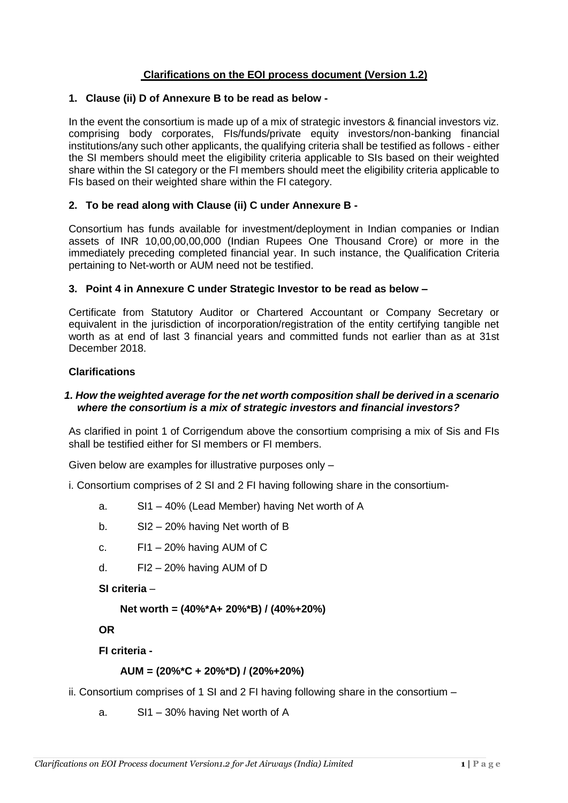# **Clarifications on the EOI process document (Version 1.2)**

#### **1. Clause (ii) D of Annexure B to be read as below -**

In the event the consortium is made up of a mix of strategic investors & financial investors viz. comprising body corporates, FIs/funds/private equity investors/non-banking financial institutions/any such other applicants, the qualifying criteria shall be testified as follows - either the SI members should meet the eligibility criteria applicable to SIs based on their weighted share within the SI category or the FI members should meet the eligibility criteria applicable to FIs based on their weighted share within the FI category.

### **2. To be read along with Clause (ii) C under Annexure B -**

Consortium has funds available for investment/deployment in Indian companies or Indian assets of INR 10,00,00,00,000 (Indian Rupees One Thousand Crore) or more in the immediately preceding completed financial year. In such instance, the Qualification Criteria pertaining to Net-worth or AUM need not be testified.

### **3. Point 4 in Annexure C under Strategic Investor to be read as below –**

Certificate from Statutory Auditor or Chartered Accountant or Company Secretary or equivalent in the jurisdiction of incorporation/registration of the entity certifying tangible net worth as at end of last 3 financial years and committed funds not earlier than as at 31st December 2018.

### **Clarifications**

### *1. How the weighted average for the net worth composition shall be derived in a scenario where the consortium is a mix of strategic investors and financial investors?*

As clarified in point 1 of Corrigendum above the consortium comprising a mix of Sis and FIs shall be testified either for SI members or FI members.

Given below are examples for illustrative purposes only –

i. Consortium comprises of 2 SI and 2 FI having following share in the consortium-

- a. SI1 40% (Lead Member) having Net worth of A
- b. SI2 20% having Net worth of B
- c.  $F11 20\%$  having AUM of C
- d. FI2 20% having AUM of D

**SI criteria** –

**Net worth = (40%\*A+ 20%\*B) / (40%+20%)**

**OR**

**FI criteria -**

### **AUM = (20%\*C + 20%\*D) / (20%+20%)**

ii. Consortium comprises of 1 SI and 2 FI having following share in the consortium –

a. SI1 – 30% having Net worth of A